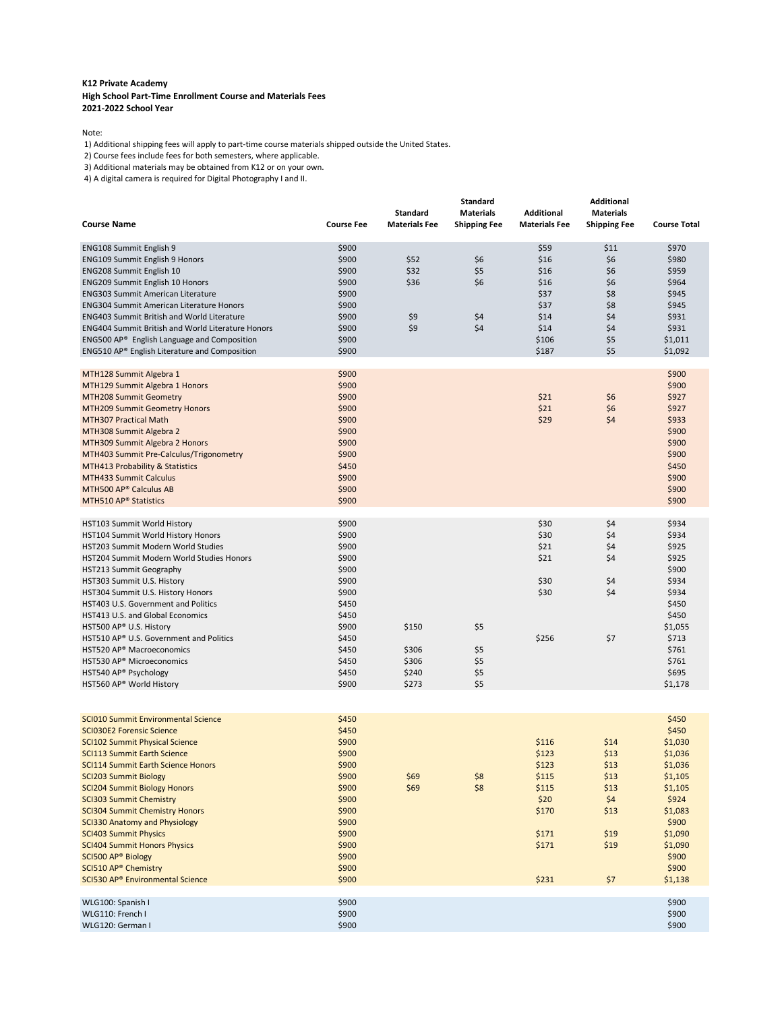## **K12 Private Academy High School Part-Time Enrollment Course and Materials Fees 2021-2022 School Year**

Note:

1) Additional shipping fees will apply to part-time course materials shipped outside the United States.

2) Course fees include fees for both semesters, where applicable.

3) Additional materials may be obtained from K12 or on your own.

4) A digital camera is required for Digital Photography I and II.

| <b>Course Name</b>                                                                                                                                                                                                                                                                                                                                                                                                                                                                                                                                               | <b>Course Fee</b>                                                                                                                   | <b>Standard</b><br><b>Materials Fee</b>   | <b>Standard</b><br><b>Materials</b><br><b>Shipping Fee</b> | <b>Additional</b><br><b>Materials Fee</b>                                             | <b>Additional</b><br><b>Materials</b><br><b>Shipping Fee</b>               | <b>Course Total</b>                                                                                                                                   |
|------------------------------------------------------------------------------------------------------------------------------------------------------------------------------------------------------------------------------------------------------------------------------------------------------------------------------------------------------------------------------------------------------------------------------------------------------------------------------------------------------------------------------------------------------------------|-------------------------------------------------------------------------------------------------------------------------------------|-------------------------------------------|------------------------------------------------------------|---------------------------------------------------------------------------------------|----------------------------------------------------------------------------|-------------------------------------------------------------------------------------------------------------------------------------------------------|
| ENG108 Summit English 9<br><b>ENG109 Summit English 9 Honors</b><br>ENG208 Summit English 10<br><b>ENG209 Summit English 10 Honors</b><br>ENG303 Summit American Literature<br><b>ENG304 Summit American Literature Honors</b><br><b>ENG403 Summit British and World Literature</b><br><b>ENG404 Summit British and World Literature Honors</b><br>ENG500 AP <sup>®</sup> English Language and Composition<br>ENG510 AP® English Literature and Composition                                                                                                      | \$900<br>\$900<br>\$900<br>\$900<br>\$900<br>\$900<br>\$900<br>\$900<br>\$900<br>\$900                                              | \$52<br>\$32<br>\$36<br>\$9<br>\$9        | \$6<br>\$5<br>\$6<br>\$4<br>\$4                            | \$59<br>\$16<br>\$16<br>\$16<br>\$37<br>\$37<br>\$14<br>\$14<br>\$106<br>\$187        | \$11<br>\$6<br>\$6<br>\$6<br>\$8<br>\$8<br>\$4<br>\$4<br>\$5<br>\$5        | \$970<br>\$980<br>\$959<br>\$964<br>\$945<br>\$945<br>\$931<br>\$931<br>\$1,011<br>\$1,092                                                            |
| MTH128 Summit Algebra 1<br>MTH129 Summit Algebra 1 Honors<br>MTH208 Summit Geometry<br><b>MTH209 Summit Geometry Honors</b><br><b>MTH307 Practical Math</b><br>MTH308 Summit Algebra 2<br>MTH309 Summit Algebra 2 Honors<br>MTH403 Summit Pre-Calculus/Trigonometry<br>MTH413 Probability & Statistics<br>MTH433 Summit Calculus<br>MTH500 AP® Calculus AB<br>MTH510 AP <sup>®</sup> Statistics                                                                                                                                                                  | \$900<br>\$900<br>\$900<br>\$900<br>\$900<br>\$900<br>\$900<br>\$900<br>\$450<br>\$900<br>\$900<br>\$900                            |                                           |                                                            | \$21<br>\$21<br>\$29                                                                  | \$6<br>\$6<br>\$4                                                          | \$900<br>\$900<br>\$927<br>\$927<br>\$933<br>\$900<br>\$900<br>\$900<br>\$450<br>\$900<br>\$900<br>\$900                                              |
| HST103 Summit World History<br>HST104 Summit World History Honors<br>HST203 Summit Modern World Studies<br>HST204 Summit Modern World Studies Honors<br>HST213 Summit Geography<br>HST303 Summit U.S. History<br>HST304 Summit U.S. History Honors<br>HST403 U.S. Government and Politics<br>HST413 U.S. and Global Economics<br>HST500 AP® U.S. History<br>HST510 AP® U.S. Government and Politics<br>HST520 AP <sup>®</sup> Macroeconomics<br>HST530 AP® Microeconomics<br>HST540 AP® Psychology<br>HST560 AP® World History                                   | \$900<br>\$900<br>\$900<br>\$900<br>\$900<br>\$900<br>\$900<br>\$450<br>\$450<br>\$900<br>\$450<br>\$450<br>\$450<br>\$450<br>\$900 | \$150<br>\$306<br>\$306<br>\$240<br>\$273 | \$5<br>\$5<br>\$5<br>\$5<br>\$5                            | \$30<br>\$30<br>\$21<br>\$21<br>\$30<br>\$30<br>\$256                                 | \$4<br>\$4<br>\$4<br>\$4<br>\$4<br>\$4<br>\$7                              | \$934<br>\$934<br>\$925<br>\$925<br>\$900<br>\$934<br>\$934<br>\$450<br>\$450<br>\$1,055<br>\$713<br>\$761<br>\$761<br>\$695<br>\$1,178               |
| SCI010 Summit Environmental Science<br><b>SCI030E2 Forensic Science</b><br><b>SCI102 Summit Physical Science</b><br><b>SCI113 Summit Earth Science</b><br>SCI114 Summit Earth Science Honors<br><b>SCI203 Summit Biology</b><br><b>SCI204 Summit Biology Honors</b><br><b>SCI303 Summit Chemistry</b><br><b>SCI304 Summit Chemistry Honors</b><br>SCI330 Anatomy and Physiology<br><b>SCI403 Summit Physics</b><br><b>SCI404 Summit Honors Physics</b><br>SCI500 AP® Biology<br>SCI510 AP <sup>®</sup> Chemistry<br>SCI530 AP <sup>®</sup> Environmental Science | \$450<br>\$450<br>\$900<br>\$900<br>\$900<br>\$900<br>\$900<br>\$900<br>\$900<br>\$900<br>\$900<br>\$900<br>\$900<br>\$900<br>\$900 | \$69<br>\$69                              | \$8<br>\$8                                                 | \$116<br>\$123<br>\$123<br>\$115<br>\$115<br>\$20<br>\$170<br>\$171<br>\$171<br>\$231 | \$14<br>\$13<br>\$13<br>\$13<br>\$13<br>\$4<br>\$13<br>\$19<br>\$19<br>\$7 | \$450<br>\$450<br>\$1,030<br>\$1,036<br>\$1,036<br>\$1,105<br>\$1,105<br>\$924<br>\$1,083<br>\$900<br>\$1,090<br>\$1,090<br>\$900<br>\$900<br>\$1,138 |
| WLG100: Spanish I<br>WLG110: French I<br>WLG120: German I                                                                                                                                                                                                                                                                                                                                                                                                                                                                                                        | \$900<br>\$900<br>\$900                                                                                                             |                                           |                                                            |                                                                                       |                                                                            | \$900<br>\$900<br>\$900                                                                                                                               |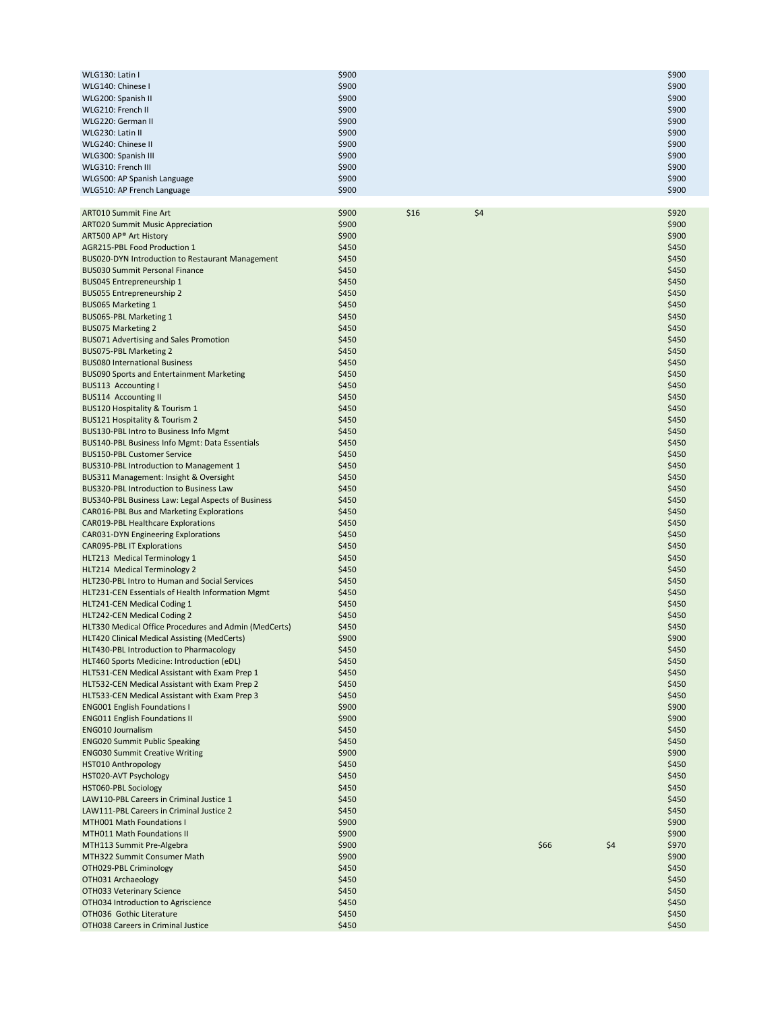| WLG130: Latin I             | \$900 | \$900 |
|-----------------------------|-------|-------|
| WLG140: Chinese I           | \$900 | \$900 |
| WLG200: Spanish II          | \$900 | \$900 |
| WLG210: French II           | \$900 | \$900 |
| WLG220: German II           | \$900 | \$900 |
| WLG230: Latin II            | \$900 | \$900 |
| WLG240: Chinese II          | \$900 | \$900 |
| WLG300: Spanish III         | \$900 | \$900 |
| WLG310: French III          | \$900 | \$900 |
| WLG500: AP Spanish Language | \$900 | \$900 |
| WLG510: AP French Language  | \$900 | \$900 |

| <b>ART010 Summit Fine Art</b>                                                           | \$900 | \$16 | \$4 |      |     | \$920 |
|-----------------------------------------------------------------------------------------|-------|------|-----|------|-----|-------|
| <b>ART020 Summit Music Appreciation</b>                                                 | \$900 |      |     |      |     | \$900 |
| ART500 AP <sup>®</sup> Art History                                                      | \$900 |      |     |      |     | \$900 |
| AGR215-PBL Food Production 1                                                            | \$450 |      |     |      |     | \$450 |
| BUS020-DYN Introduction to Restaurant Management                                        | \$450 |      |     |      |     | \$450 |
| <b>BUS030 Summit Personal Finance</b>                                                   | \$450 |      |     |      |     | \$450 |
| BUS045 Entrepreneurship 1                                                               | \$450 |      |     |      |     | \$450 |
| BUS055 Entrepreneurship 2                                                               | \$450 |      |     |      |     | \$450 |
| <b>BUS065 Marketing 1</b>                                                               | \$450 |      |     |      |     | \$450 |
| BUS065-PBL Marketing 1                                                                  | \$450 |      |     |      |     | \$450 |
| <b>BUS075 Marketing 2</b>                                                               | \$450 |      |     |      |     | \$450 |
| <b>BUS071 Advertising and Sales Promotion</b>                                           | \$450 |      |     |      |     | \$450 |
| BUS075-PBL Marketing 2                                                                  | \$450 |      |     |      |     | \$450 |
| <b>BUS080 International Business</b>                                                    | \$450 |      |     |      |     | \$450 |
| <b>BUS090 Sports and Entertainment Marketing</b>                                        | \$450 |      |     |      |     | \$450 |
| BUS113 Accounting I                                                                     | \$450 |      |     |      |     | \$450 |
| <b>BUS114 Accounting II</b>                                                             | \$450 |      |     |      |     | \$450 |
| <b>BUS120 Hospitality &amp; Tourism 1</b>                                               | \$450 |      |     |      |     | \$450 |
| <b>BUS121 Hospitality &amp; Tourism 2</b>                                               | \$450 |      |     |      |     | \$450 |
| BUS130-PBL Intro to Business Info Mgmt                                                  | \$450 |      |     |      |     | \$450 |
| <b>BUS140-PBL Business Info Mgmt: Data Essentials</b>                                   | \$450 |      |     |      |     | \$450 |
| <b>BUS150-PBL Customer Service</b>                                                      | \$450 |      |     |      |     | \$450 |
| <b>BUS310-PBL Introduction to Management 1</b>                                          | \$450 |      |     |      |     | \$450 |
| BUS311 Management: Insight & Oversight                                                  | \$450 |      |     |      |     | \$450 |
| BUS320-PBL Introduction to Business Law                                                 | \$450 |      |     |      |     | \$450 |
| BUS340-PBL Business Law: Legal Aspects of Business                                      | \$450 |      |     |      |     | \$450 |
|                                                                                         | \$450 |      |     |      |     | \$450 |
| CAR016-PBL Bus and Marketing Explorations                                               | \$450 |      |     |      |     | \$450 |
| <b>CAR019-PBL Healthcare Explorations</b><br><b>CAR031-DYN Engineering Explorations</b> | \$450 |      |     |      |     | \$450 |
|                                                                                         | \$450 |      |     |      |     | \$450 |
| <b>CAR095-PBL IT Explorations</b>                                                       | \$450 |      |     |      |     | \$450 |
| HLT213 Medical Terminology 1                                                            |       |      |     |      |     |       |
| HLT214 Medical Terminology 2                                                            | \$450 |      |     |      |     | \$450 |
| HLT230-PBL Intro to Human and Social Services                                           | \$450 |      |     |      |     | \$450 |
| HLT231-CEN Essentials of Health Information Mgmt                                        | \$450 |      |     |      |     | \$450 |
| HLT241-CEN Medical Coding 1                                                             | \$450 |      |     |      |     | \$450 |
| HLT242-CEN Medical Coding 2                                                             | \$450 |      |     |      |     | \$450 |
| HLT330 Medical Office Procedures and Admin (MedCerts)                                   | \$450 |      |     |      |     | \$450 |
| HLT420 Clinical Medical Assisting (MedCerts)                                            | \$900 |      |     |      |     | \$900 |
| HLT430-PBL Introduction to Pharmacology                                                 | \$450 |      |     |      |     | \$450 |
| HLT460 Sports Medicine: Introduction (eDL)                                              | \$450 |      |     |      |     | \$450 |
| HLT531-CEN Medical Assistant with Exam Prep 1                                           | \$450 |      |     |      |     | \$450 |
| HLT532-CEN Medical Assistant with Exam Prep 2                                           | \$450 |      |     |      |     | \$450 |
| HLT533-CEN Medical Assistant with Exam Prep 3                                           | \$450 |      |     |      |     | \$450 |
| <b>ENG001 English Foundations I</b>                                                     | \$900 |      |     |      |     | \$900 |
| <b>ENG011 English Foundations II</b>                                                    | \$900 |      |     |      |     | \$900 |
| <b>ENG010 Journalism</b>                                                                | \$450 |      |     |      |     | \$450 |
| <b>ENG020 Summit Public Speaking</b>                                                    | \$450 |      |     |      |     | \$450 |
| <b>ENG030 Summit Creative Writing</b>                                                   | \$900 |      |     |      |     | \$900 |
| <b>HST010 Anthropology</b>                                                              | \$450 |      |     |      |     | \$450 |
| <b>HST020-AVT Psychology</b>                                                            | \$450 |      |     |      |     | \$450 |
| HST060-PBL Sociology                                                                    | \$450 |      |     |      |     | \$450 |
| LAW110-PBL Careers in Criminal Justice 1                                                | \$450 |      |     |      |     | \$450 |
| LAW111-PBL Careers in Criminal Justice 2                                                | \$450 |      |     |      |     | \$450 |
| MTH001 Math Foundations I                                                               | \$900 |      |     |      |     | \$900 |
| <b>MTH011 Math Foundations II</b>                                                       | \$900 |      |     |      |     | \$900 |
| MTH113 Summit Pre-Algebra                                                               | \$900 |      |     | \$66 | \$4 | \$970 |
| MTH322 Summit Consumer Math                                                             | \$900 |      |     |      |     | \$900 |
| OTH029-PBL Criminology                                                                  | \$450 |      |     |      |     | \$450 |
| OTH031 Archaeology                                                                      | \$450 |      |     |      |     | \$450 |
| OTH033 Veterinary Science                                                               | \$450 |      |     |      |     | \$450 |
| OTH034 Introduction to Agriscience                                                      | \$450 |      |     |      |     | \$450 |
| OTH036 Gothic Literature                                                                | \$450 |      |     |      |     | \$450 |
| OTH038 Careers in Criminal Justice                                                      | \$450 |      |     |      |     | \$450 |